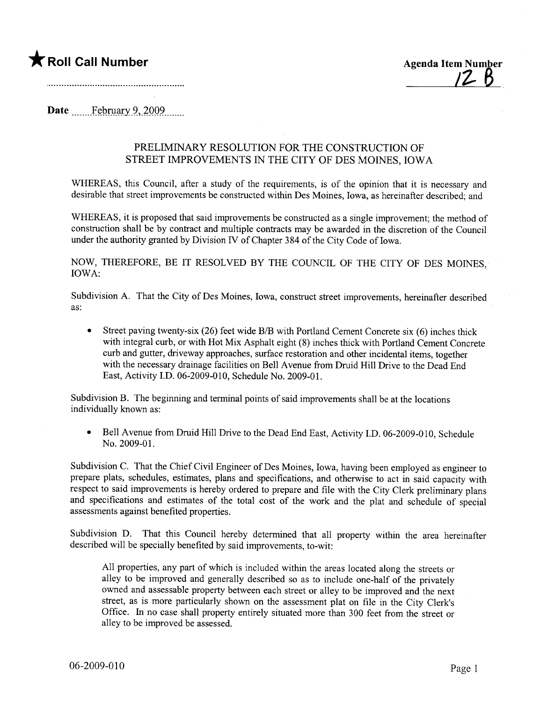## \* Roll Call Number Agenda Item Number

Date February 9, 2009

## PRELIMINARY RESOLUTION FOR THE CONSTRUCTION OF STREET IMPROVEMENTS IN THE CITY OF DES MOINS, IOWA

WHEREAS, this Council, after a study of the requirements, is of the opinion that it is necessary and desirable that street improvements be constructed within Des Moines, Iowa, as hereinafter described; and

WHEREAS, it is proposed that said improvements be constructed as a single improvement; the method of construction shall be by contract and multiple contracts may be awarded in the discretion of the Council under the authority granted by Division IV of Chapter 384 of the City Code of Iowa.

NOW, THEREFORE, BE IT RESOLVED BY THE COUNCIL OF THE CITY OF DES MOINS, IOWA:

Subdivision A. That the City of Des Moines, Iowa, construct street improvements, hereinafter described as:

Street paving twenty-six (26) feet wide B/B with Portland Cement Concrete six (6) inches thick with integral curb, or with Hot Mix Asphalt eight (8) inches thick with Portland Cement Concrete curb and gutter, driveway approaches, surface restoration and other incidental items, together with the necessary drainage facilities on Bell Avenue from Druid Hill Drive to the Dead End East, Activity I.D. 06-2009-010, Schedule No. 2009-01.

Subdivision B. The beginning and terminal points of said improvements shall be at the locations individually known as:

• Bell Avenue from Druid Hill Drive to the Dead End East, Activity I.D. 06-2009-010, Schedule No. 2009-01.

Subdivision C. That the Chief Civil Engineer of Des Moines, Iowa, having been employed as engineer to prepare plats, schedules, estimates, plans and specifications, and otherwise to act in said capacity with respect to said improvements is hereby ordered to prepare and file with the City Clerk preliminary plans and specifications and estimates of the total cost of the work and the plat and schedule of special assessments against benefited properties.

Subdivision D. That this Council hereby determined that all property within the area hereinafter described will be specially benefited by said improvements, to-wit:

All properties, any part of which is included within the areas located along the streets or alley to be improved and generally described so as to include one-half of the privately owned and assessable property between each street or alley to be improved and the next street, as is more particularly shown on the assessment plat on fie in the City Clerk's Office. In no case shall property entirely situated more than 300 feet from the street or alley to be improved be assessed.